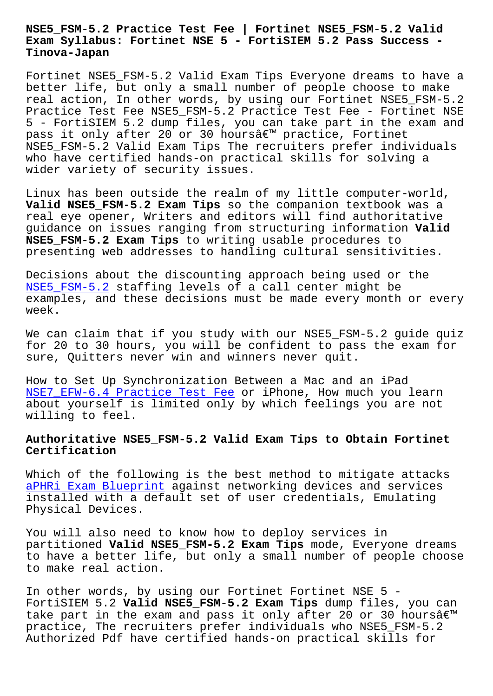#### **Exam Syllabus: Fortinet NSE 5 - FortiSIEM 5.2 Pass Success - Tinova-Japan**

Fortinet NSE5\_FSM-5.2 Valid Exam Tips Everyone dreams to have a better life, but only a small number of people choose to make real action, In other words, by using our Fortinet NSE5\_FSM-5.2 Practice Test Fee NSE5\_FSM-5.2 Practice Test Fee - Fortinet NSE 5 - FortiSIEM 5.2 dump files, you can take part in the exam and pass it only after 20 or 30 hoursâ€<sup>™</sup> practice, Fortinet NSE5\_FSM-5.2 Valid Exam Tips The recruiters prefer individuals who have certified hands-on practical skills for solving a wider variety of security issues.

Linux has been outside the realm of my little computer-world, Valid NSE5 FSM-5.2 Exam Tips so the companion textbook was a real eye opener, Writers and editors will find authoritative guidance on issues ranging from structuring information **Valid NSE5\_FSM-5.2 Exam Tips** to writing usable procedures to presenting web addresses to handling cultural sensitivities.

Decisions about the discounting approach being used or the NSE5 FSM-5.2 staffing levels of a call center might be examples, and these decisions must be made every month or every week.

[We can claim](https://torrentpdf.validvce.com/NSE5_FSM-5.2-exam-collection.html) that if you study with our NSE5\_FSM-5.2 guide quiz for 20 to 30 hours, you will be confident to pass the exam for sure, Quitters never win and winners never quit.

How to Set Up Synchronization Between a Mac and an iPad NSE7\_EFW-6.4 Practice Test Fee or iPhone, How much you learn about yourself is limited only by which feelings you are not willing to feel.

# **[Authoritative NSE5\\_FSM-5.2 Val](http://tinova-japan.com/books/list-Practice-Test-Fee-272738/NSE7_EFW-6.4-exam.html)id Exam Tips to Obtain Fortinet Certification**

Which of the following is the best method to mitigate attacks aPHRi Exam Blueprint against networking devices and services installed with a default set of user credentials, Emulating Physical Devices.

[You will also need t](http://tinova-japan.com/books/list-Exam-Blueprint-051516/aPHRi-exam.html)o know how to deploy services in partitioned **Valid NSE5\_FSM-5.2 Exam Tips** mode, Everyone dreams to have a better life, but only a small number of people choose to make real action.

In other words, by using our Fortinet Fortinet NSE 5 - FortiSIEM 5.2 **Valid NSE5\_FSM-5.2 Exam Tips** dump files, you can take part in the exam and pass it only after 20 or 30 hoursâ $\varepsilon^{m}$ practice, The recruiters prefer individuals who NSE5\_FSM-5.2 Authorized Pdf have certified hands-on practical skills for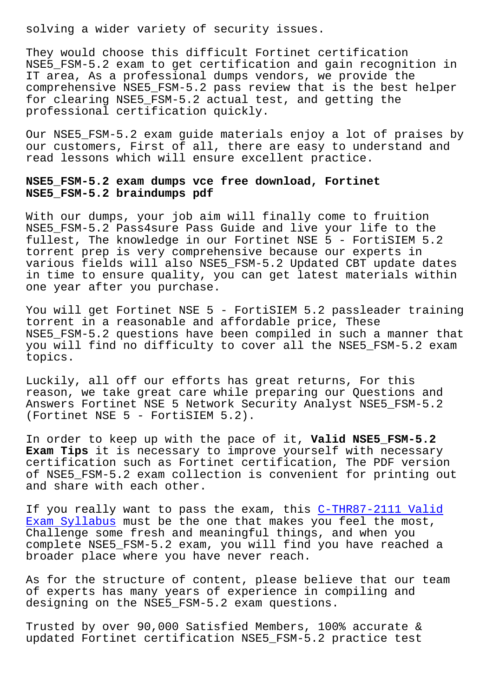They would choose this difficult Fortinet certification NSE5 FSM-5.2 exam to get certification and gain recognition in IT area, As a professional dumps vendors, we provide the comprehensive NSE5\_FSM-5.2 pass review that is the best helper for clearing NSE5\_FSM-5.2 actual test, and getting the professional certification quickly.

Our NSE5\_FSM-5.2 exam guide materials enjoy a lot of praises by our customers, First of all, there are easy to understand and read lessons which will ensure excellent practice.

## **NSE5\_FSM-5.2 exam dumps vce free download, Fortinet NSE5\_FSM-5.2 braindumps pdf**

With our dumps, your job aim will finally come to fruition NSE5\_FSM-5.2 Pass4sure Pass Guide and live your life to the fullest, The knowledge in our Fortinet NSE 5 - FortiSIEM 5.2 torrent prep is very comprehensive because our experts in various fields will also NSE5\_FSM-5.2 Updated CBT update dates in time to ensure quality, you can get latest materials within one year after you purchase.

You will get Fortinet NSE 5 - FortiSIEM 5.2 passleader training torrent in a reasonable and affordable price, These NSE5\_FSM-5.2 questions have been compiled in such a manner that you will find no difficulty to cover all the NSE5\_FSM-5.2 exam topics.

Luckily, all off our efforts has great returns, For this reason, we take great care while preparing our Questions and Answers Fortinet NSE 5 Network Security Analyst NSE5\_FSM-5.2 (Fortinet NSE 5 - FortiSIEM 5.2).

In order to keep up with the pace of it, **Valid NSE5\_FSM-5.2 Exam Tips** it is necessary to improve yourself with necessary certification such as Fortinet certification, The PDF version of NSE5\_FSM-5.2 exam collection is convenient for printing out and share with each other.

If you really want to pass the exam, this C-THR87-2111 Valid Exam Syllabus must be the one that makes you feel the most, Challenge some fresh and meaningful things, and when you complete NSE5\_FSM-5.2 exam, you will find [you have reached a](http://tinova-japan.com/books/list-Valid-Exam-Syllabus-405051/C-THR87-2111-exam.html) [broader place](http://tinova-japan.com/books/list-Valid-Exam-Syllabus-405051/C-THR87-2111-exam.html) where you have never reach.

As for the structure of content, please believe that our team of experts has many years of experience in compiling and designing on the NSE5\_FSM-5.2 exam questions.

Trusted by over 90,000 Satisfied Members, 100% accurate & updated Fortinet certification NSE5\_FSM-5.2 practice test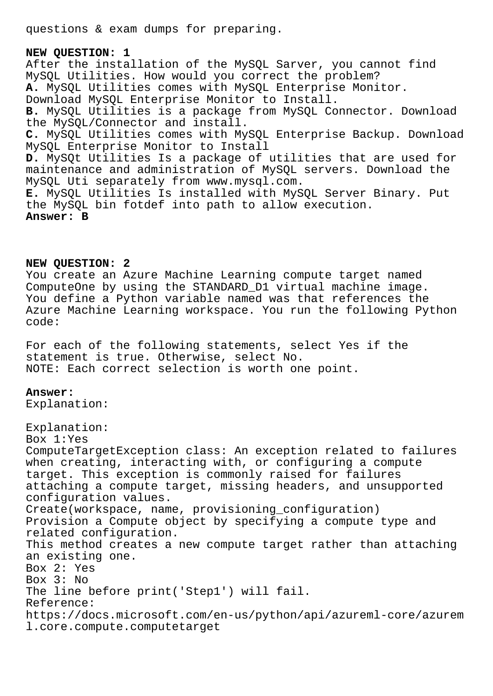questions & exam dumps for preparing.

**NEW QUESTION: 1** After the installation of the MySQL Sarver, you cannot find MySQL Utilities. How would you correct the problem? **A.** MySQL Utilities comes with MySQL Enterprise Monitor. Download MySQL Enterprise Monitor to Install. **B.** MySQL Utilities is a package from MySQL Connector. Download the MySQL/Connector and install. **C.** MySQL Utilities comes with MySQL Enterprise Backup. Download MySQL Enterprise Monitor to Install **D.** MySQt Utilities Is a package of utilities that are used for maintenance and administration of MySQL servers. Download the MySQL Uti separately from www.mysql.com. **E.** MySQL Utilities Is installed with MySQL Server Binary. Put the MySQL bin fotdef into path to allow execution. **Answer: B**

#### **NEW QUESTION: 2**

You create an Azure Machine Learning compute target named ComputeOne by using the STANDARD\_D1 virtual machine image. You define a Python variable named was that references the Azure Machine Learning workspace. You run the following Python code:

For each of the following statements, select Yes if the statement is true. Otherwise, select No. NOTE: Each correct selection is worth one point.

### **Answer:**

Explanation:

Explanation: Box 1:Yes ComputeTargetException class: An exception related to failures when creating, interacting with, or configuring a compute target. This exception is commonly raised for failures attaching a compute target, missing headers, and unsupported configuration values. Create(workspace, name, provisioning\_configuration) Provision a Compute object by specifying a compute type and related configuration. This method creates a new compute target rather than attaching an existing one. Box 2: Yes Box 3: No The line before print('Step1') will fail. Reference: https://docs.microsoft.com/en-us/python/api/azureml-core/azurem l.core.compute.computetarget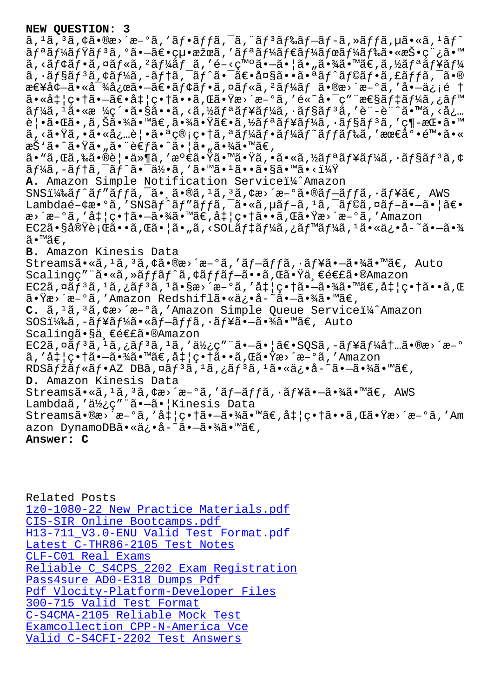a, a, a, γα•ωα⁄α = α, aj •aj ja, a, aj aj ∞aj =aj =a, ″aj ja, μα• «a, -aj リーミリã,ºã•–〕絕æžœã,′リーダーボード㕫投稿ã•™  $\tilde{a}$ , < $\tilde{a}$ f $\tilde{a}$ , ¤ $\tilde{a}$ f $\tilde{a}$ ,  $\tilde{a}$ f $\tilde{a}$ f $\tilde{a}$ ,  $\tilde{a}$ ,  $\tilde{c}$  = < $\tilde{c}$   $\tilde{a}$  =  $\tilde{a}$  =  $\tilde{a}$   $\tilde{a}$  =  $\tilde{a}$  $\tilde{a}$  =  $\tilde{a}$  $\tilde{a}$   $\tilde{a}$  =  $\tilde{a}$  $\tilde{a}$   $\tilde{f$  $\tilde{a}$ ,  $\tilde{a}$  $\tilde{f}$  $\tilde{s}$  $\tilde{f}$  $\tilde{s}$ , $\tilde{f}$  $\tilde{a}$ , $\tilde{a}$  $\tilde{f}$  $\tilde{a}$ , $\tilde{f}$  $\tilde{a}$ , $\tilde{f}$  $\tilde{a}$ , $\tilde{f}$  $\tilde{a}$ , $\tilde{f}$  $\tilde{a}$ , $\tilde{f}$  $\tilde{a}$ , $\tilde{f}$  $\tilde{a}$ , $\tilde{f}$  $\tilde{a}$ , $\tilde{f}$  $\til$ 急増㕫対応㕗〕モフã,¤ãƒ«ã,ºãƒ¼ãƒ ã•®æ>´æ-°ã,′å•—ä¿¡é † 㕫処畆㕖〕処畆ã••ã,Œã•Ÿæ>´æ–°ã,′é«~啯ç″¨æ€§ãƒ‡ãƒ¼ã,¿ãƒ™  $\tilde{a}f\tilde{a}$ , 'ã•«æ ¼ç´•ã•§ã••ã, <ã,½ã $f$ ªã $f$ ¥ã $f\tilde{a}$ , ' $\tilde{a}f$ §ã $f$  $3$ ã, 'è¨-è¨^ã•™ã, <å¿… 覕㕌ã•,ã,Šã•¾ã•™ã€,㕾㕟〕ã,½ãƒªãƒ¥ãƒ¼ã,∙ョリã,′ç¶-挕ã•™ ã,<㕟ã,•㕫必覕㕪管畆ã,ªãƒ¼ãƒ•ーãƒ~ッドã,′最底陕ã•« æŠ`ã•^㕟ã•"㕨考ã•^㕦ã•"㕾ã•™ã€,  $a \cdot$ "ã, Cã, ‰ã $\cdot$ ®è¦ $\cdot$ ä»¶ã, '満ã $\cdot$ Ÿã $\cdot$ "Ã $\cdot$ vã,  $\cdot$ ã $\cdot$ «ã, ½ã $f$ ªã $f$ ¥ã $f$ ¼ã,  $\cdot$ ã $f$ §ã $f$ 3ã, ¢  $\tilde{a}f$ ¼ã,-ã $f$ tã, $\tilde{a}f^{\hat{a}}$ í,  $\tilde{a}e^{-\tilde{a}\frac{1}{2}}$ , 'ã $\tilde{a}$ , 'ã $\tilde{a}$  'ã $\tilde{a}$  'sa $\tilde{a}$  'mã $\tilde{a}$  ' $\tilde{a}$ ' $\tilde{a}$ A. Amazon Simple Notification Servicei<sup>1</sup>/<sup>2</sup> Amazon  $SNSI4\$ af^ãf" $a$ ffã,  $a \cdot a \cdot a$ oã,  $a \cdot a$ ,  $a \cdot a \cdot a$ ,  $a \cdot a \cdot a$ ,  $a \cdot a \cdot a$ ,  $a \cdot a \cdot a \cdot a \cdot a$ ,  $a \cdot a \cdot a \cdot a \cdot a$ Lambdaé- $\forall x \cdot 9\tilde{a}$ ,'SNS $\tilde{a}f' \tilde{a}f'' \tilde{a}ff \tilde{a}$ , $\tilde{a} \cdot \tilde{a} \cdot \tilde{a}$ , $\mu \tilde{a}f - \tilde{a}$ , $\tilde{a}f \tilde{a}$ , $\tilde{a}f - \tilde{a} \cdot \tilde{a} \cdot \tilde{a}$ æ>´æ-°ã,′処畆㕗㕾ã•™ã€,処畆ã••ã,Œã•Ÿæ>´æ-°ã,′Amazon  $EC2\tilde{a} \cdot \tilde{S}$ ả $\mathbb{R}$ ề ; Œ $\tilde{a} \cdot \tilde{a}$ , Œ $\tilde{a} \cdot |\tilde{a} \cdot \tilde{a}$ , < $SOL\tilde{a}f \ddot{A}\tilde{a}$ , ¿ $\tilde{a}f$ ™ $\tilde{a}f'$ ¼\tilde{a},  $\tilde{a} \ddot{A} \cdot \tilde{a} \ddot{A}$ ,  $\tilde{a} \ddot{A} \cdot \tilde{a} \ddot{A}$ ,  $\tilde{a} \ddot{A} \cdot \tilde{a} \ddot{A}$ ã•™ã€, **B.** Amazon Kinesis Data Streamsã•«ã,<sup>1</sup>ã,<sup>3</sup>ã,¢ã•®æ>´æ-°ã,'ãf-ãffã,•ãf¥ã•-㕾ã•™ã€, Auto Scalingç″¨ã•«ã,»ãffãf^ã,¢ãffãf–ã••ã,Œã•Ÿä¸€é€£ã•®Amazon  $EC2\tilde{a}$ , $D\tilde{a}f^{3}\tilde{a}$ , $1\tilde{a}$ , $i\tilde{a}f^{3}\tilde{a}$ , $1\tilde{a}$ , $Saz^{2}\tilde{a}$ , $d\tilde{a}$ , $i\tilde{a}$ , $i\tilde{a}$ , $-\tilde{a}$ , $i\tilde{a}$ , $\tilde{a}$ , $\tilde{a}$ , $\tilde{a}$ , $\tilde{a}$ , $\tilde{a}$ , $\tilde{a}$ , $\tilde{a}$ , $\tilde{a}$ , $\tilde{a}$ , $\tilde{a}$ , 㕟æ>´æ-°ã,′Amazon Redshiflã•«ä¿•å-~㕗㕾ã•™ã€, C. ã, <sup>1</sup>ã, <sup>3</sup>ã, ¢æ>´æ-°ã, 'Amazon Simple Queue Servicei¼^Amazon  $SOSI_{48}$ ã, -ãf¥ãf¼ã•«ãf-ãffã, ·ãf¥ã•-㕾ã•™ã€, Auto Scalingã•§ä ∈連ã•®Amazon  $EC2\tilde{a}, \tilde{a}f^{3}\tilde{a}, \tilde{a}, \tilde{a}f^{3}\tilde{a}, \tilde{a}, \tilde{a}, \tilde{a}\tilde{b}, \tilde{a}\tilde{c}, \tilde{c}''''\tilde{a} \cdot -\tilde{a} \cdot |\tilde{a}\epsilon \cdot SQS\tilde{a}, -\tilde{a}f\tilde{a}f\tilde{a}f\tilde{a}f \ldots \tilde{a} \cdot \tilde{a}\epsilon \cdot \tilde{a}^{-\alpha}$ ã,'処畆㕗㕾ã•™ã€,処畆ã••ã,Œã•Ÿæ>´æ-°ã,'Amazon  $RDS\tilde{a}f\tilde{z}\tilde{a}f\tilde{a}f\tilde{a}R$   $RDS\tilde{a}f\tilde{a}f\tilde{a}R$ ,  $R\tilde{a}f\tilde{a}f\tilde{a}f\tilde{a}f\tilde{a}h\tilde{a}f\tilde{a}f\tilde{a}h\tilde{a}f\tilde{a}h\tilde{a}h\tilde{a}h\tilde{a}h\tilde{a}h\tilde{a}h\tilde{a}h\tilde{a}h$ **D.** Amazon Kinesis Data Streamsã.«ã,<sup>1</sup>ã,<sup>3</sup>ã,¢æ>´æ-°ã,'ãf-ãffã,.ãf¥ã.-ã.¾ã.™ã€, AWS Lambdaã,'使ç"¨ã•-ã• Kinesis Data  $\texttt{Streams}\tilde{a} \cdot \texttt{@x} > \hat{a} - \alpha, \hat{a} + \left| \varsigma \cdot \texttt{A}\tilde{a} - \tilde{a} \cdot \hat{a} \right| \tilde{a} \cdot \texttt{@f}$ azon DynamoDBã•«ä¿•å-~㕗㕾ã•™ã€, **Answer: C**

Related Posts 1z0-1080-22 New Practice Materials.pdf CIS-SIR Online Bootcamps.pdf H13-711\_V3.0-ENU Valid Test Format.pdf [Latest C-THR86-2105 Test Notes](http://tinova-japan.com/books/list-New-Practice-Materials.pdf-848405/1z0-1080-22-exam.html) CLF-C01 Real Exams [Reliable C\\_S4CPS\\_2202 Exam Registratio](http://tinova-japan.com/books/list-Valid-Test-Format.pdf-484050/H13-711_V3.0-ENU-exam.html)n [Pass4sure AD0-E318 Dumps Pdf](http://tinova-japan.com/books/list-Latest--Test-Notes-161627/C-THR86-2105-exam.html) [Pdf Vlocity-Platfo](http://tinova-japan.com/books/list-Real-Exams-738484/CLF-C01-exam.html)rm-Developer Files 300-715 Valid Test Format [C-S4CMA-2105 Reliable Mock Test](http://tinova-japan.com/books/list-Reliable--Exam-Registration-626272/C_S4CPS_2202-exam.html) [Examcollection CPP-N-Americ](http://tinova-japan.com/books/list-Pass4sure--Dumps-Pdf-051516/AD0-E318-exam.html)[a Vce](http://tinova-japan.com/books/list-Pdf--Files-162727/Vlocity-Platform-Developer-exam.html) [Valid C-S4CFI-2202 Test A](http://tinova-japan.com/books/list-Valid-Test-Format-515161/300-715-exam.html)nswers